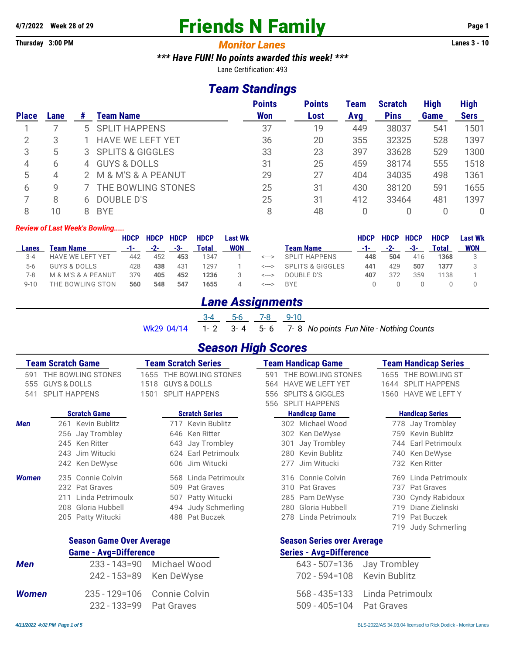# **4/7/2022** Week 28 of 29 **Friends N Family** Page 1

#### **Thursday 3:00 PM** *Monitor Lanes* **Lanes 3 - 10**

*\*\*\* Have FUN! No points awarded this week! \*\*\**

Lane Certification: 493

### *Team Standings*

| <b>Place</b> | Lane | #        | Team Name               | <b>Points</b><br><b>Won</b> | <b>Points</b><br>Lost | Team<br>Avg | <b>Scratch</b><br><b>Pins</b> | <b>High</b><br>Game | <b>High</b><br><b>Sers</b> |
|--------------|------|----------|-------------------------|-----------------------------|-----------------------|-------------|-------------------------------|---------------------|----------------------------|
|              |      |          | 5 SPLIT HAPPENS         | 37                          | 19                    | 449         | 38037                         | 541                 | 1501                       |
|              | 3    |          | <b>HAVE WE LEFT YET</b> | 36                          | 20                    | 355         | 32325                         | 528                 | 1397                       |
| 3            | 5    |          | 3 SPLITS & GIGGLES      | 33                          | 23                    | 397         | 33628                         | 529                 | 1300                       |
| 4            | 6    | $\Delta$ | <b>GUYS &amp; DOLLS</b> | 31                          | 25                    | 459         | 38174                         | 555                 | 1518                       |
| 5            | 4    |          | M & M'S & A PEANUT      | 29                          | 27                    | 404         | 34035                         | 498                 | 1361                       |
| 6            | 9    |          | THE BOWLING STONES      | 25                          | 31                    | 430         | 38120                         | 591                 | 1655                       |
|              | 8    | h.       | DOUBLE D'S              | 25                          | 31                    | 412         | 33464                         | 481                 | 1397                       |
| 8            | 10   |          | <b>BYE</b>              | 8                           | 48                    |             |                               |                     | 0                          |

#### *Review of Last Week's Bowling.....*

|          |                                | <b>HDCP</b> | <b>HDCP</b> | <b>HDCP</b> | <b>HDCP</b> | Last Wk    |       |                  | HDCP | <b>HDCP</b> | <b>HDCP</b> | <b>HDCP</b> | Last Wk    |
|----------|--------------------------------|-------------|-------------|-------------|-------------|------------|-------|------------------|------|-------------|-------------|-------------|------------|
| Lanes    | Team Name                      | -1-         | $-2-$       | -3-         | Total       | <b>WON</b> |       | Team Name        | -1-  | $-2-$       | -3-         | Total       | <b>WON</b> |
| $3 - 4$  | <b>HAVE WE LEFT YET</b>        | 442         | 452         | 453         | 1347        |            | <---> | SPI IT HAPPENS   | 448  | 504         | 416         | 1368        |            |
| 5-6      | <b>GUYS &amp; DOLLS</b>        | 428         | 438         | 431         | 1297        |            | <---> | SPLITS & GIGGLES | 441  | 429         | 507         | 1377        |            |
| 7-8      | M & M'S & A PEANUT             | 379         | 405         | 452         | 1236        |            | <---> | DOUBLE D'S       | 407  | 372         | 359         | 1138        |            |
| $9 - 10$ | <b><i>FHE BOWLING STON</i></b> | 560         | 548         | 547         | 1655        |            | <---> | <b>BYF</b>       |      |             |             |             |            |

### *Lane Assignments*

|  | 3-4 5-6 7-8 9-10 |  |                                                                |  |
|--|------------------|--|----------------------------------------------------------------|--|
|  |                  |  | Wk29 04/14 1-2 3-4 5-6 7-8 No points Fun Nite - Nothing Counts |  |

### *Season High Scores*

|              | <b>Team Scratch Game</b>                      | <b>Team Scratch Series</b> |                                               |     | <b>Team Handicap Game</b>                           |      | <b>Team Handicap Series</b>                 |  |  |  |
|--------------|-----------------------------------------------|----------------------------|-----------------------------------------------|-----|-----------------------------------------------------|------|---------------------------------------------|--|--|--|
| 591<br>555   | THE BOWLING STONES<br><b>GUYS &amp; DOLLS</b> | 1655<br>1518               | THE BOWLING STONES<br><b>GUYS &amp; DOLLS</b> |     | THE BOWLING STONES<br><b>HAVE WE LEFT YET</b>       | 1644 | 1655 THE BOWLING ST<br><b>SPLIT HAPPENS</b> |  |  |  |
| 541          | <b>SPLIT HAPPENS</b>                          | 1501                       | <b>SPLIT HAPPENS</b>                          |     | <b>SPLITS &amp; GIGGLES</b><br><b>SPLIT HAPPENS</b> | 1560 | <b>HAVE WE LEFT Y</b>                       |  |  |  |
|              | <b>Scratch Game</b>                           |                            | <b>Scratch Series</b>                         | 556 | <b>Handicap Game</b>                                |      | <b>Handicap Series</b>                      |  |  |  |
| <b>Men</b>   | 261 Kevin Bublitz                             |                            | 717 Kevin Bublitz                             |     | 302 Michael Wood                                    |      | 778 Jay Trombley                            |  |  |  |
|              | 256 Jay Trombley                              | 646                        | Ken Ritter                                    | 302 | Ken DeWyse                                          | 759  | Kevin Bublitz                               |  |  |  |
|              | 245 Ken Ritter                                | 643                        | Jay Trombley                                  | 301 | Jay Trombley                                        | 744  | Earl Petrimoulx                             |  |  |  |
|              | 243 Jim Witucki                               |                            | 624 Earl Petrimoulx                           | 280 | Kevin Bublitz                                       | 740  | Ken DeWyse                                  |  |  |  |
|              | 242 Ken DeWyse                                | 606                        | Jim Witucki                                   | 277 | Jim Witucki                                         |      | 732 Ken Ritter                              |  |  |  |
| <b>Women</b> | 235 Connie Colvin                             |                            | 568 Linda Petrimoulx                          |     | 316 Connie Colvin                                   | 769  | Linda Petrimoulx                            |  |  |  |
|              | 232 Pat Graves                                |                            | 509 Pat Graves                                | 310 | Pat Graves                                          | 737  | Pat Graves                                  |  |  |  |
|              | 211 Linda Petrimoulx                          |                            | 507 Patty Witucki                             |     | 285 Pam DeWyse                                      | 730. | Cyndy Rabidoux                              |  |  |  |
|              | 208 Gloria Hubbell                            |                            | 494 Judy Schmerling                           | 280 | Gloria Hubbell                                      | 719  | Diane Zielinski                             |  |  |  |
|              | 205 Patty Witucki                             |                            | 488 Pat Buczek                                | 278 | Linda Petrimoulx                                    | 719  | Pat Buczek                                  |  |  |  |
|              |                                               |                            |                                               |     |                                                     | 719. | Judy Schmerling                             |  |  |  |
|              | <b>Season Game Over Average</b>               |                            |                                               |     | <b>Season Series over Average</b>                   |      |                                             |  |  |  |

### **Game - Avg=Difference Series - Avg=Difference**

| Men   |                            | 233 - 143=90 Michael Wood<br>242 - 153=89 Ken DeWyse | 643 - 507=136 Jay Trombley<br>702 - 594=108 Kevin Bublitz |                                   |
|-------|----------------------------|------------------------------------------------------|-----------------------------------------------------------|-----------------------------------|
| Women | 232 - 133=99    Pat Graves | 235 - 129=106 Connie Colvin                          | 509 - 405=104 Pat Graves                                  | 568 - 435=133    Linda Petrimoulx |
|       |                            |                                                      |                                                           |                                   |

|                         |                               | "                           |                                 |
|-------------------------|-------------------------------|-----------------------------|---------------------------------|
|                         | 233 - 143=90     Michael Wood | 643 - 507=136 Jay Trombley  |                                 |
|                         | 242 - 153=89 Ken DeWyse       | 702 - 594=108 Kevin Bublitz |                                 |
|                         | 35 - 129=106 Connie Colvin    |                             | 568 - 435=133    Linda Petrimou |
| 232 - 133=99 Pat Graves |                               | 509 - 405=104 Pat Graves    |                                 |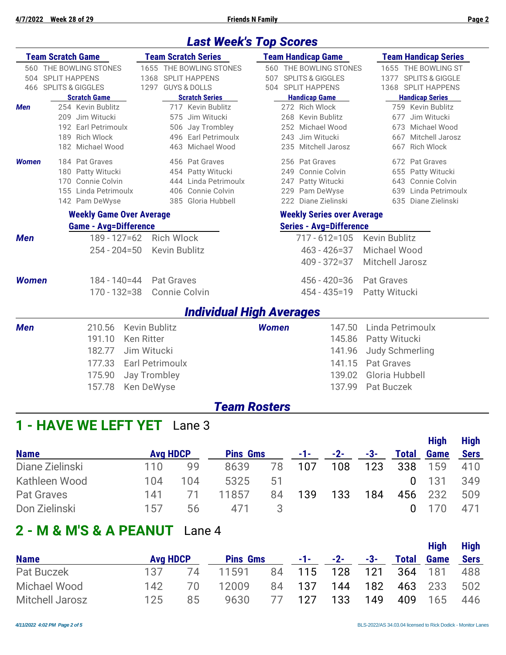### *Last Week's Top Scores*

|              | <b>Team Scratch Game</b>        | <b>Team Scratch Series</b> | <b>Team Handicap Game</b>         | <b>Team Handicap Series</b> |  |  |  |  |  |
|--------------|---------------------------------|----------------------------|-----------------------------------|-----------------------------|--|--|--|--|--|
|              | 560 THE BOWLING STONES          | 1655 THE BOWLING STONES    | 560 THE BOWLING STONES            | 1655 THE BOWLING ST         |  |  |  |  |  |
|              | 504 SPLIT HAPPENS               | 1368 SPLIT HAPPENS         | 507 SPLITS & GIGGLES              | 1377 SPLITS & GIGGLE        |  |  |  |  |  |
|              | 466 SPLITS & GIGGLES            | 1297 GUYS & DOLLS          | 504 SPLIT HAPPENS                 | 1368 SPLIT HAPPENS          |  |  |  |  |  |
|              | <b>Scratch Game</b>             | <b>Scratch Series</b>      | <b>Handicap Game</b>              | <b>Handicap Series</b>      |  |  |  |  |  |
| <b>Men</b>   | 254 Kevin Bublitz               | 717 Kevin Bublitz          | 272 Rich Wlock                    | 759 Kevin Bublitz           |  |  |  |  |  |
|              | 209 Jim Witucki                 | 575 Jim Witucki            | 268 Kevin Bublitz                 | Jim Witucki<br>677          |  |  |  |  |  |
|              | 192 Earl Petrimoulx             | 506 Jay Trombley           | 252 Michael Wood                  | 673 Michael Wood            |  |  |  |  |  |
|              | 189 Rich Wlock                  | 496 Earl Petrimoulx        | 243 Jim Witucki                   | 667 Mitchell Jarosz         |  |  |  |  |  |
|              | 182 Michael Wood                | 463 Michael Wood           | 235 Mitchell Jarosz               | <b>Rich Wlock</b><br>667    |  |  |  |  |  |
| Women        | 184 Pat Graves                  | 456 Pat Graves             | 256 Pat Graves                    | 672 Pat Graves              |  |  |  |  |  |
|              | 180 Patty Witucki               | 454 Patty Witucki          | 249 Connie Colvin                 | 655 Patty Witucki           |  |  |  |  |  |
|              | 170 Connie Colvin               | 444 Linda Petrimoulx       | 247 Patty Witucki                 | 643 Connie Colvin           |  |  |  |  |  |
|              | 155 Linda Petrimoulx            | 406 Connie Colvin          | 229 Pam DeWyse                    | 639 Linda Petrimoulx        |  |  |  |  |  |
|              | 142 Pam DeWyse                  | 385 Gloria Hubbell         | 222 Diane Zielinski               | 635 Diane Zielinski         |  |  |  |  |  |
|              | <b>Weekly Game Over Average</b> |                            | <b>Weekly Series over Average</b> |                             |  |  |  |  |  |
|              | <b>Game - Avg=Difference</b>    |                            | <b>Series - Avg=Difference</b>    |                             |  |  |  |  |  |
| <b>Men</b>   | 189 - 127 = 62                  | <b>Rich Wlock</b>          | $717 - 612 = 105$                 | <b>Kevin Bublitz</b>        |  |  |  |  |  |
|              | $254 - 204 = 50$                | Kevin Bublitz              | $463 - 426 = 37$                  | Michael Wood                |  |  |  |  |  |
|              |                                 |                            | $409 - 372 = 37$                  | Mitchell Jarosz             |  |  |  |  |  |
|              |                                 |                            |                                   |                             |  |  |  |  |  |
| <b>Women</b> | $184 - 140 = 44$                | Pat Graves                 | $456 - 420 = 36$                  | <b>Pat Graves</b>           |  |  |  |  |  |
|              | $170 - 132 = 38$                | Connie Colvin              | 454 - 435 = 19                    | Patty Witucki               |  |  |  |  |  |
|              |                                 |                            | <b>Individual High Averages</b>   |                             |  |  |  |  |  |
| <b>Men</b>   | 210.56                          | Kevin Bublitz              | <b>Women</b><br>147.50            | Linda Petrimoulx            |  |  |  |  |  |
|              | 191.10                          | <b>Ken Ritter</b>          | 145.86                            | Patty Witucki               |  |  |  |  |  |
|              | 182.77                          | Jim Witucki                | 141.96                            | <b>Judy Schmerling</b>      |  |  |  |  |  |
|              | 177.33                          | <b>Earl Petrimoulx</b>     | 141.15                            | Pat Graves                  |  |  |  |  |  |
|              | 175.90                          | <b>Jay Trombley</b>        | 139.02                            | Gloria Hubbell              |  |  |  |  |  |
|              | 157.78                          | Ken DeWyse                 | 137.99                            | Pat Buczek                  |  |  |  |  |  |
|              |                                 |                            |                                   |                             |  |  |  |  |  |
|              |                                 |                            | <b>Team Rosters</b>               |                             |  |  |  |  |  |

### **1 - HAVE WE LEFT YET** Lane 3

|                   |                 |     |                 |    |      |       |     |       | <b>High</b> | <b>High</b> |
|-------------------|-----------------|-----|-----------------|----|------|-------|-----|-------|-------------|-------------|
| <b>Name</b>       | <b>Avg HDCP</b> |     | <b>Pins Gms</b> |    | -1-1 | $-2-$ | -3- | Total | <b>Game</b> | <b>Sers</b> |
| Diane Zielinski   | 110             | 99  | 8639            | 78 | 107  | 108   | 123 | 338   | 159         | 410         |
| Kathleen Wood     | 104             | 104 | 5325            | 51 |      |       |     |       | -131        | 349         |
| <b>Pat Graves</b> | 141             |     | 11857           | 84 | 139  | 133   | 184 | 456   | 232         | 509         |
| Don Zielinski     | 15/             | 56  | 4/1             |    |      |       |     |       |             | 471         |

## **2 - M & M'S & A PEANUT** Lane 4

|                 |                 |     |                 |    |            |                    |     | <b>High</b>  | <b>High</b> |      |
|-----------------|-----------------|-----|-----------------|----|------------|--------------------|-----|--------------|-------------|------|
| <b>Name</b>     | <b>Avg HDCP</b> |     | <b>Pins Gms</b> |    |            | $-1$ - $-2$ - $-2$ | -3- | <b>Total</b> | <b>Game</b> | Sers |
| Pat Buczek      | 137             | 74  | 11591           |    | 84 115 128 |                    | 121 | 364 181      |             | 488  |
| Michael Wood    | 142             | 70. | 12009           |    | 84 137     | 144                | 182 |              | 463 233     | 502  |
| Mitchell Jarosz | 125             | 85  | 9630            | 77 | 127        | 133                | 149 | 409          | - 165       | 446  |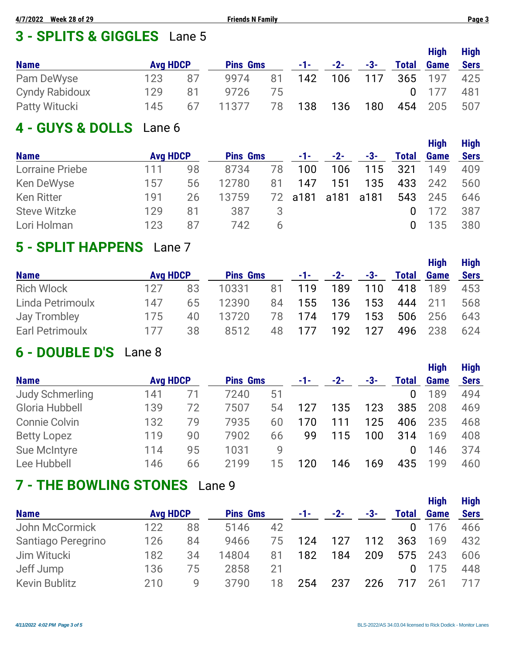# **3 - SPLITS & GIGGLES** Lane 5

|                       |                 |    |                 |    |            |       |       |              | <b>High</b> | <b>High</b> |
|-----------------------|-----------------|----|-----------------|----|------------|-------|-------|--------------|-------------|-------------|
| <b>Name</b>           | <b>Avg HDCP</b> |    | <b>Pins Gms</b> |    | $-1$ - $-$ | $-2-$ | $-3-$ | <b>Total</b> | <b>Game</b> | <b>Sers</b> |
| Pam DeWyse            | 123             | 87 | 9974            | 81 | 142        | 106   | 117   |              | 365 197     | 425         |
| <b>Cyndy Rabidoux</b> | 129             | 81 | 9726            | /5 |            |       |       |              | $0 \t177$   | 481         |
| <b>Patty Witucki</b>  | 145             | 67 | 11377           | 78 | 138        | 136   | 180   |              | 454 205     | 507         |

## **4 - GUYS & DOLLS** Lane 6

| <b>Name</b>            | <b>Avg HDCP</b> |    | <b>Pins Gms</b> |    | $-1-$     | $-2-$ | -3-  | <b>Total</b> | <b>High</b><br><b>Game</b> | <b>High</b><br><b>Sers</b> |
|------------------------|-----------------|----|-----------------|----|-----------|-------|------|--------------|----------------------------|----------------------------|
| <b>Lorraine Priebe</b> | 111             | 98 | 8734            | 78 | 100       | 106   | 115  | 321          | 149                        | 409                        |
| Ken DeWyse             | 157             | 56 | 12780           | 81 | 147       | 151   | 135  | 433          | 242                        | 560                        |
| <b>Ken Ritter</b>      | 191             | 26 | 13759           | 72 | a181 a181 |       | a181 | 543          | 245                        | 646                        |
| <b>Steve Witzke</b>    | 129             | 81 | 387             | 3  |           |       |      | $\Omega$     | 172                        | 387                        |
| Lori Holman            | 123             | 87 | 742.            | h  |           |       |      | $\mathbf{0}$ | 135                        | 380                        |

# **5 - SPLIT HAPPENS** Lane 7

|                     |                 |    |                 |    |            |       |     |              | <b>High</b> | <b>High</b> |
|---------------------|-----------------|----|-----------------|----|------------|-------|-----|--------------|-------------|-------------|
| <b>Name</b>         | <b>Avg HDCP</b> |    | <b>Pins Gms</b> |    | $-1$ – $-$ | $-2-$ | -3- | <b>Total</b> | <b>Game</b> | <b>Sers</b> |
| <b>Rich Wlock</b>   | 127             | 83 | 10331           | 81 | 119        | 189   | 110 | 418          | 189         | 453         |
| Linda Petrimoulx    | 147             | 65 | 12390           | 84 | 155        | 136   | 153 | 444          | 211         | 568         |
| <b>Jay Trombley</b> | 175             | 40 | 13720           | 78 | 174        | 179   | 153 | 506          | 256         | 643         |
| Earl Petrimoulx     | 177             | 38 | 8512            | 48 | 177        | 192   | 127 | 496          | 238         | 624         |

# **6 - DOUBLE D'S** Lane 8

|                        |                 |    |                 |    |     |       |     |              | <b>High</b> | <b>High</b> |
|------------------------|-----------------|----|-----------------|----|-----|-------|-----|--------------|-------------|-------------|
| <b>Name</b>            | <b>Avg HDCP</b> |    | <b>Pins Gms</b> |    | -1- | $-2-$ | -3- | <b>Total</b> | <b>Game</b> | <b>Sers</b> |
| <b>Judy Schmerling</b> | 141             | 71 | 7240            | 51 |     |       |     | 0            | 189         | 494         |
| Gloria Hubbell         | 139             | 72 | 7507            | 54 | 127 | 135   | 123 | 385          | 208         | 469         |
| <b>Connie Colvin</b>   | 132             | 79 | 7935            | 60 | 170 | 111   | 125 | 406          | 235         | 468         |
| <b>Betty Lopez</b>     | 119             | 90 | 7902            | 66 | 99  | 115   | 100 | 314          | 169         | 408         |
| <b>Sue McIntyre</b>    | 114             | 95 | 1031            | 9  |     |       |     | 0            | 146         | 374         |
| Lee Hubbell            | 146             | 66 | 2199            | 15 | 20  | 146   | 169 | 435          | 199         | 460         |

# **7 - THE BOWLING STONES** Lane 9

|                      |                 |    |                 |    |     |       |     |              | <b>High</b> | <b>High</b> |
|----------------------|-----------------|----|-----------------|----|-----|-------|-----|--------------|-------------|-------------|
| <b>Name</b>          | <b>Avg HDCP</b> |    | <b>Pins Gms</b> |    | -1- | $-2-$ | -3- | <b>Total</b> | <b>Game</b> | <b>Sers</b> |
| John McCormick       | 122             | 88 | 5146            | 42 |     |       |     | $\Omega$     | 176         | 466         |
| Santiago Peregrino   | 126             | 84 | 9466            | 75 | 124 | 127   | 112 | 363          | 169         | 432         |
| Jim Witucki          | 182             | 34 | 14804           | 81 | 182 | 184   | 209 | 575          | 243         | 606         |
| Jeff Jump            | 136             | 75 | 2858            | 21 |     |       |     | 0            | 175         | 448         |
| <b>Kevin Bublitz</b> | 210             | g  | 3790            | 18 | 254 | 237   | 226 |              | 261         | 717         |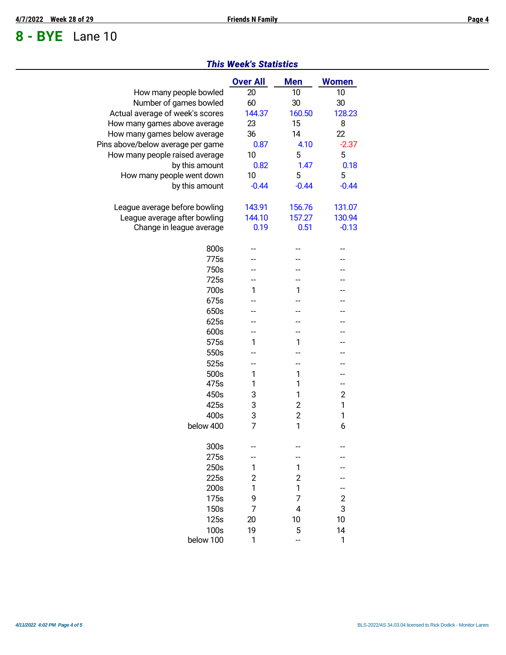# **8 - BYE** Lane 10

|                                   | <b>Over All</b> | <b>Men</b>              | <b>Women</b>   |
|-----------------------------------|-----------------|-------------------------|----------------|
| How many people bowled            | 20              | 10                      | 10             |
| Number of games bowled            | 60              | 30                      | 30             |
| Actual average of week's scores   | 144.37          | 160.50                  | 128.23         |
| How many games above average      | 23              | 15                      | 8              |
| How many games below average      | 36              | 14                      | 22             |
| Pins above/below average per game | 0.87            | 4.10                    | $-2.37$        |
| How many people raised average    | 10              | 5                       | 5              |
| by this amount                    | 0.82            | 1.47                    | 0.18           |
| How many people went down         | 10              | 5                       | 5              |
| by this amount                    | $-0.44$         | $-0.44$                 | $-0.44$        |
|                                   |                 |                         |                |
| League average before bowling     | 143.91          | 156.76                  | 131.07         |
| League average after bowling      | 144.10          | 157.27                  | 130.94         |
| Change in league average          | 0.19            | 0.51                    | $-0.13$        |
|                                   |                 |                         |                |
| 800s                              |                 |                         |                |
| 775s                              |                 |                         |                |
| 750s                              |                 |                         |                |
| 725s                              |                 |                         |                |
| 700s                              | 1               | 1                       |                |
| 675s                              |                 |                         |                |
| 650s                              |                 |                         |                |
| 625s                              |                 |                         |                |
| 600s                              | --              |                         |                |
| 575s                              | 1               | 1                       |                |
| 550s                              |                 |                         |                |
| 525s                              | --              | --                      | --             |
| 500s                              | 1               | 1                       | --             |
| 475s                              | 1               | 1                       | --             |
| 450s                              | 3               | 1                       | $\overline{2}$ |
| 425s                              | 3               | $\overline{c}$          | 1              |
| 400s                              | 3               | $\overline{\mathbf{c}}$ | 1              |
| below 400                         | $\overline{7}$  | 1                       | 6              |
|                                   |                 |                         |                |
| 300s                              |                 |                         |                |
| 275s                              |                 |                         |                |
| 250s                              | 1               | 1                       |                |
| 225s                              | $\overline{c}$  | $\overline{c}$          |                |
| 200s                              | 1               | 1                       |                |
| 175s                              | 9               | 7                       | 2              |
| 150s                              | 7               | 4                       | 3              |
| 125s                              | 20              | 10                      | 10             |
| 100s                              | 19              | 5                       | 14             |
| below 100                         | 1               |                         | 1              |

#### *This Week's Statistics*